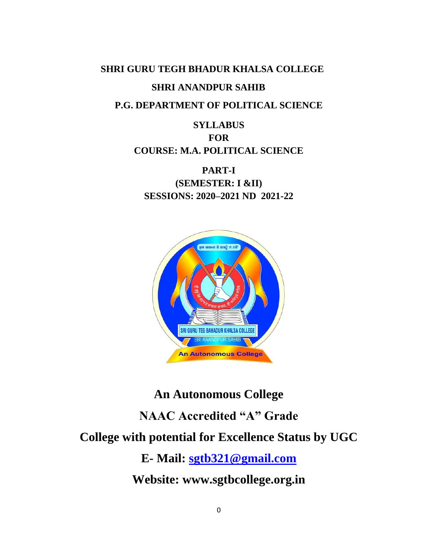# **SHRI GURU TEGH BHADUR KHALSA COLLEGE SHRI ANANDPUR SAHIB**

# **P.G. DEPARTMENT OF POLITICAL SCIENCE**

# **SYLLABUS FOR COURSE: M.A. POLITICAL SCIENCE**

**PART-I (SEMESTER: I &II) SESSIONS: 2020–2021 ND 2021-22**



# **An Autonomous College NAAC Accredited "A" Grade College with potential for Excellence Status by UGC E- Mail: [sgtb321@gmail.com](mailto:sgtb321@gmail.com)**

**Website: www.sgtbcollege.org.in**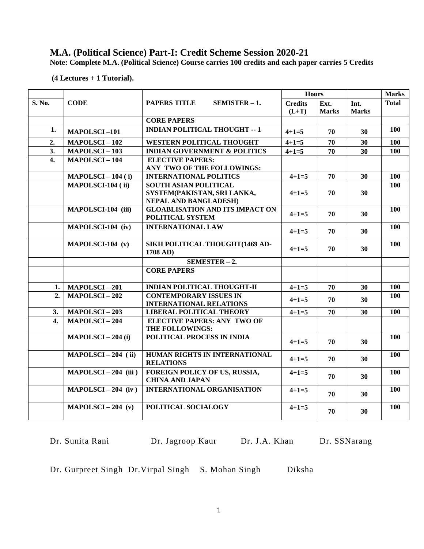# **M.A. (Political Science) Part-I: Credit Scheme Session 2020-21**

**Note: Complete M.A. (Political Science) Course carries 100 credits and each paper carries 5 Credits**

**(4 Lectures + 1 Tutorial).**

|                  |                        |                                                                                             | <b>Hours</b>              |                      |                      |              | <b>Marks</b> |
|------------------|------------------------|---------------------------------------------------------------------------------------------|---------------------------|----------------------|----------------------|--------------|--------------|
| S. No.           | <b>CODE</b>            | <b>PAPERS TITLE</b><br>$SEMISTER - 1.$                                                      | <b>Credits</b><br>$(L+T)$ | Ext.<br><b>Marks</b> | Int.<br><b>Marks</b> | <b>Total</b> |              |
|                  |                        | <b>CORE PAPERS</b>                                                                          |                           |                      |                      |              |              |
| 1.               | <b>MAPOLSCI-101</b>    | <b>INDIAN POLITICAL THOUGHT -- 1</b>                                                        | $4 + 1 = 5$               | 70                   | 30                   | 100          |              |
| 2.               | <b>MAPOLSCI-102</b>    | <b>WESTERN POLITICAL THOUGHT</b>                                                            | $4 + 1 = 5$               | 70                   | 30                   | 100          |              |
| 3.               | <b>MAPOLSCI-103</b>    | <b>INDIAN GOVERNMENT &amp; POLITICS</b>                                                     | $4 + 1 = 5$               | 70                   | 30                   | 100          |              |
| $\overline{4}$ . | <b>MAPOLSCI-104</b>    | <b>ELECTIVE PAPERS:</b><br>ANY TWO OF THE FOLLOWINGS:                                       |                           |                      |                      |              |              |
|                  | $MAPOLSCI - 104(i)$    | <b>INTERNATIONAL POLITICS</b>                                                               | $4 + 1 = 5$               | 70                   | 30                   | 100          |              |
|                  | MAPOLSCI-104 (ii)      | <b>SOUTH ASIAN POLITICAL</b><br>SYSTEM(PAKISTAN, SRI LANKA,<br><b>NEPAL AND BANGLADESH)</b> | $4+1=5$                   | 70                   | 30                   | 100          |              |
|                  | MAPOLSCI-104 (iii)     | <b>GLOABLISATION AND ITS IMPACT ON</b><br>POLITICAL SYSTEM                                  | $4+1=5$                   | 70                   | 30                   | 100          |              |
|                  | MAPOLSCI-104 (iv)      | <b>INTERNATIONAL LAW</b>                                                                    | $4+1=5$                   | 70                   | 30                   | 100          |              |
|                  | MAPOLSCI-104 (v)       | SIKH POLITICAL THOUGHT(1469 AD-<br>1708 AD)                                                 | $4+1=5$                   | 70                   | 30                   | 100          |              |
|                  |                        | $SEMESTER - 2.$                                                                             |                           |                      |                      |              |              |
|                  |                        | <b>CORE PAPERS</b>                                                                          |                           |                      |                      |              |              |
| 1.               | <b>MAPOLSCI-201</b>    | <b>INDIAN POLITICAL THOUGHT-II</b>                                                          | $4 + 1 = 5$               | 70                   | 30                   | 100          |              |
| 2.               | <b>MAPOLSCI-202</b>    | <b>CONTEMPORARY ISSUES IN</b><br><b>INTERNATIONAL RELATIONS</b>                             | $4+1=5$                   | 70                   | 30                   | 100          |              |
| 3.               | <b>MAPOLSCI-203</b>    | <b>LIBERAL POLITICAL THEORY</b>                                                             | $4 + 1 = 5$               | 70                   | 30                   | 100          |              |
| 4.               | <b>MAPOLSCI-204</b>    | <b>ELECTIVE PAPERS: ANY TWO OF</b><br>THE FOLLOWINGS:                                       |                           |                      |                      |              |              |
|                  | $MAPOLSCI - 204(i)$    | POLITICAL PROCESS IN INDIA                                                                  | $4+1=5$                   | 70                   | 30                   | 100          |              |
|                  | $MAPOLSCI - 204$ (ii)  | HUMAN RIGHTS IN INTERNATIONAL<br><b>RELATIONS</b>                                           | $4+1=5$                   | 70                   | 30                   | 100          |              |
|                  | $MAPOLSCI - 204$ (iii) | FOREIGN POLICY OF US, RUSSIA,<br><b>CHINA AND JAPAN</b>                                     | $4+1=5$                   | 70                   | 30                   | 100          |              |
|                  | $MAPOLSCI - 204$ (iv)  | <b>INTERNATIONAL ORGANISATION</b>                                                           | $4+1=5$                   | 70                   | 30                   | 100          |              |
|                  | $MAPOLSCI - 204 (v)$   | POLITICAL SOCIALOGY                                                                         | $4+1=5$                   | 70                   | 30                   | 100          |              |

Dr. Sunita Rani Dr. Jagroop Kaur Dr. J.A. Khan Dr. SSNarang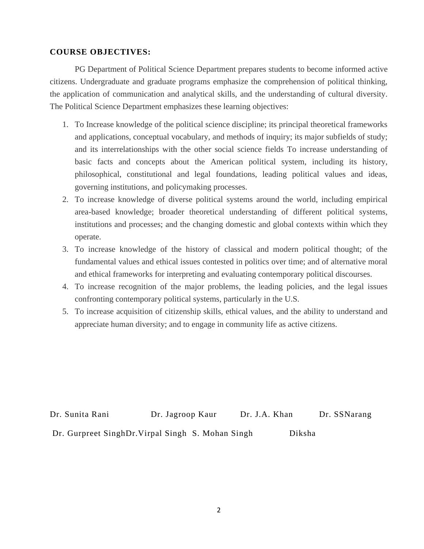# **COURSE OBJECTIVES:**

PG Department of Political Science Department prepares students to become informed active citizens. Undergraduate and graduate programs emphasize the comprehension of political thinking, the application of communication and analytical skills, and the understanding of cultural diversity. The Political Science Department emphasizes these learning objectives:

- 1. To Increase knowledge of the political science discipline; its principal theoretical frameworks and applications, conceptual vocabulary, and methods of inquiry; its major subfields of study; and its interrelationships with the other social science fields To increase understanding of basic facts and concepts about the American political system, including its history, philosophical, constitutional and legal foundations, leading political values and ideas, governing institutions, and policymaking processes.
- 2. To increase knowledge of diverse political systems around the world, including empirical area-based knowledge; broader theoretical understanding of different political systems, institutions and processes; and the changing domestic and global contexts within which they operate.
- 3. To increase knowledge of the history of classical and modern political thought; of the fundamental values and ethical issues contested in politics over time; and of alternative moral and ethical frameworks for interpreting and evaluating contemporary political discourses.
- 4. To increase recognition of the major problems, the leading policies, and the legal issues confronting contemporary political systems, particularly in the U.S.
- 5. To increase acquisition of citizenship skills, ethical values, and the ability to understand and appreciate human diversity; and to engage in community life as active citizens.

Dr. Sunita Rani Dr. Jagroop Kaur Dr. J.A. Khan Dr. SSNarang Dr. Gurpreet SinghDr. Virpal Singh S. Mohan Singh Diksha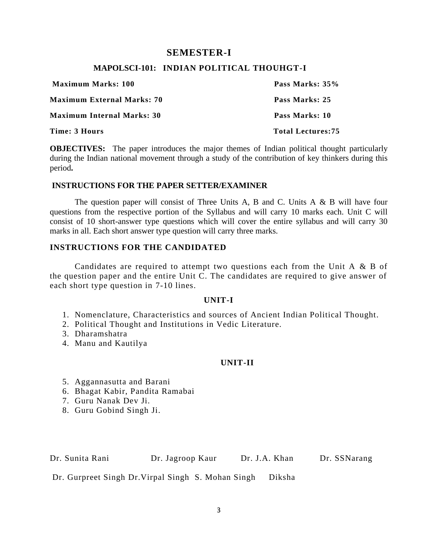# **SEMESTER-I**

# **MAPOLSCI-101: INDIAN POLITICAL THOUHGT-I**

| <b>Maximum Marks: 100</b>         | Pass Marks: 35%          |
|-----------------------------------|--------------------------|
| <b>Maximum External Marks: 70</b> | Pass Marks: 25           |
| <b>Maximum Internal Marks: 30</b> | Pass Marks: 10           |
| Time: 3 Hours                     | <b>Total Lectures:75</b> |

**OBJECTIVES:** The paper introduces the major themes of Indian political thought particularly during the Indian national movement through a study of the contribution of key thinkers during this period**.** 

# **INSTRUCTIONS FOR THE PAPER SETTER/EXAMINER**

The question paper will consist of Three Units A, B and C. Units A & B will have four questions from the respective portion of the Syllabus and will carry 10 marks each. Unit C will consist of 10 short-answer type questions which will cover the entire syllabus and will carry 30 marks in all. Each short answer type question will carry three marks.

# **INSTRUCTIONS FOR THE CANDIDATED**

Candidates are required to attempt two questions each from the Unit A & B of the question paper and the entire Unit C. The candidates are required to give answer of each short type question in 7-10 lines.

# **UNIT-I**

- 1. Nomenclature, Characteristics and sources of Ancient Indian Political Thought.
- 2. Political Thought and Institutions in Vedic Literature.
- 3. Dharamshatra
- 4. Manu and Kautilya

# **UNIT-II**

- 5. Aggannasutta and Barani
- 6. Bhagat Kabir, Pandita Ramabai
- 7. Guru Nanak Dev Ji.
- 8. Guru Gobind Singh Ji.

Dr. Sunita Rani Dr. Jagroop Kaur Dr. J.A. Khan Dr. SSNarang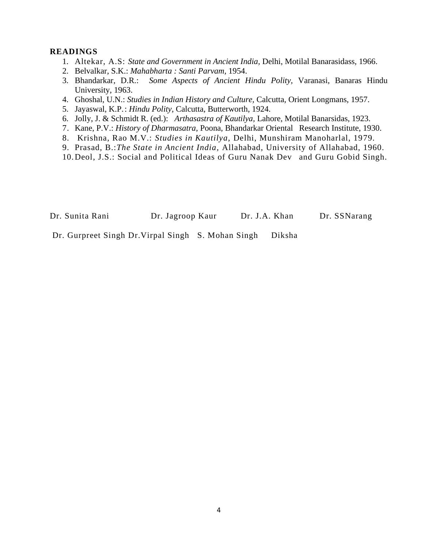- 1. Altekar, A.S: *State and Government in Ancient India,* Delhi, Motilal Banarasidass, 1966.
- 2. Belvalkar, S.K.: *Mahabharta : Santi Parvam,* 1954.
- 3. Bhandarkar, D.R.: *Some Aspects of Ancient Hindu Polity,* Varanasi, Banaras Hindu University, 1963.
- 4. Ghoshal, U.N.: *Studies in Indian History and Culture,* Calcutta, Orient Longmans, 1957.
- 5. Jayaswal, K.P.: *Hindu Polity,* Calcutta, Butterworth, 1924.
- 6. Jolly, J. & Schmidt R. (ed.): *Arthasastra of Kautilya,* Lahore, Motilal Banarsidas, 1923.
- 7. Kane, P.V.: *History of Dharmasatra,* Poona, Bhandarkar Oriental Research Institute, 1930.
- 8. Krishna, Rao M.V.: *Studies in Kautilya,* Delhi, Munshiram Manoharlal, 1979.
- 9. Prasad, B.:*The State in Ancient India,* Allahabad, University of Allahabad, 1960.
- 10.Deol, J.S.: Social and Political Ideas of Guru Nanak Dev and Guru Gobid Singh.

Dr. Sunita Rani Dr. Jagroop Kaur Dr. J.A. Khan Dr. SSNarang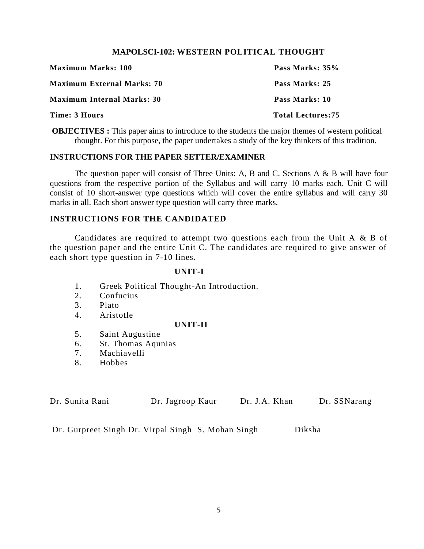# **MAPOLSCI-102: WESTERN POLITICAL THOUGHT**

| <b>Maximum Marks: 100</b>         | Pass Marks: 35%          |
|-----------------------------------|--------------------------|
| <b>Maximum External Marks: 70</b> | Pass Marks: 25           |
| <b>Maximum Internal Marks: 30</b> | Pass Marks: 10           |
| Time: 3 Hours                     | <b>Total Lectures:75</b> |

**OBJECTIVES**: This paper aims to introduce to the students the major themes of western political thought. For this purpose, the paper undertakes a study of the key thinkers of this tradition.

# **INSTRUCTIONS FOR THE PAPER SETTER/EXAMINER**

The question paper will consist of Three Units: A, B and C. Sections A  $\&$  B will have four questions from the respective portion of the Syllabus and will carry 10 marks each. Unit C will consist of 10 short-answer type questions which will cover the entire syllabus and will carry 30 marks in all. Each short answer type question will carry three marks.

# **INSTRUCTIONS FOR THE CANDIDATED**

Candidates are required to attempt two questions each from the Unit A & B of the question paper and the entire Unit C. The candidates are required to give answer of each short type question in 7-10 lines.

#### **UNIT-I**

- 1. Greek Political Thought-An Introduction.
- 2. Confucius
- 3. Plato
- 4. Aristotle

#### **UNIT-II**

- 5. Saint Augustine
- 6. St. Thomas Aqunias
- 7. Machiavelli
- 8. Hobbes

| Dr. Sunita Rani | Dr. Jagroop Kaur | Dr. J.A. Khan | Dr. SSNarang |
|-----------------|------------------|---------------|--------------|
|                 |                  |               |              |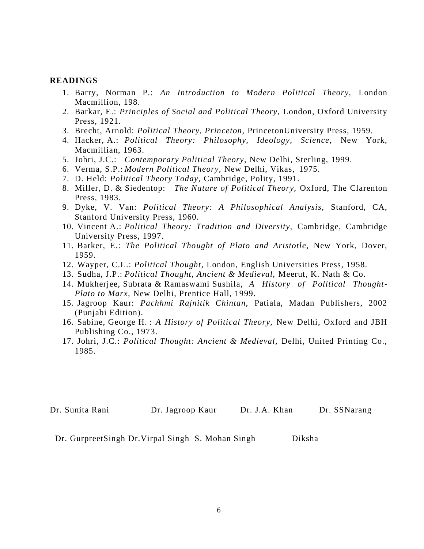- 1. Barry, Norman P.: *An Introduction to Modern Political Theory,* London Macmillion, 198.
- 2. Barkar, E.: *Principles of Social and Political Theory,* London, Oxford University Press, 1921.
- 3. Brecht, Arnold: *Political Theory, Princeton,* PrincetonUniversity Press, 1959.
- 4. Hacker, A.: *Political Theory: Philosophy, Ideology, Science,* New York, Macmillian, 1963.
- 5. Johri, J.C.: *Contemporary Political Theory,* New Delhi, Sterling, 1999.
- 6. Verma, S.P.: *Modern Political Theory,* New Delhi, Vikas, 1975.
- 7. D. Held: *Political Theory Today,* Cambridge, Polity, 1991.
- 8. Miller, D. & Siedentop: *The Nature of Political Theory,* Oxford, The Clarenton Press, 1983.
- 9. Dyke, V. Van: *Political Theory: A Philosophical Analysis,* Stanford, CA, Stanford University Press, 1960.
- 10. Vincent A.: *Political Theory: Tradition and Diversity,* Cambridge, Cambridge University Press, 1997.
- 11. Barker, E.: *The Political Thought of Plato and Aristotle,* New York, Dover, 1959.
- 12. Wayper, C.L.: *Political Thought,* London, English Universities Press, 1958.
- 13. Sudha, J.P.: *Political Thought, Ancient & Medieval,* Meerut, K. Nath & Co.
- 14. Mukherjee, Subrata & Ramaswami Sushila, *A History of Political Thought-Plato to Marx,* New Delhi, Prentice Hall, 1999.
- 15. Jagroop Kaur: *Pachhmi Rajnitik Chintan,* Patiala, Madan Publishers, 2002 (Punjabi Edition).
- 16. Sabine, George H. : *A History of Political Theory,* New Delhi, Oxford and JBH Publishing Co., 1973.
- 17. Johri, J.C.: *Political Thought: Ancient & Medieval,* Delhi, United Printing Co., 1985.

Dr. Sunita Rani Dr. Jagroop Kaur Dr. J.A. Khan Dr. SSNarang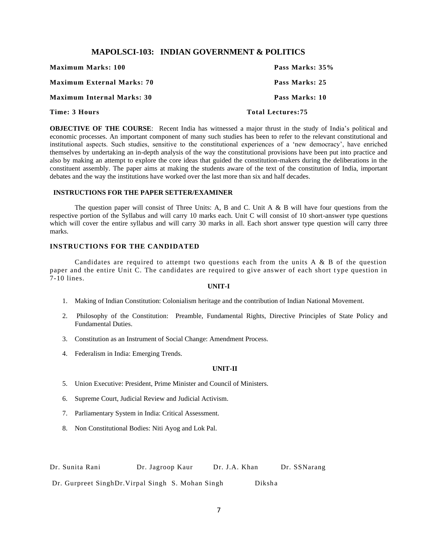#### **MAPOLSCI-103: INDIAN GOVERNMENT & POLITICS**

| Time: 3 Hours                     | <b>Total Lectures:75</b> |
|-----------------------------------|--------------------------|
| <b>Maximum Internal Marks: 30</b> | Pass Marks: 10           |
| <b>Maximum External Marks: 70</b> | Pass Marks: 25           |
| <b>Maximum Marks: 100</b>         | Pass Marks: 35%          |

**OBJECTIVE OF THE COURSE**: Recent India has witnessed a major thrust in the study of India's political and economic processes. An important component of many such studies has been to refer to the relevant constitutional and institutional aspects. Such studies, sensitive to the constitutional experiences of a 'new democracy', have enriched themselves by undertaking an in-depth analysis of the way the constitutional provisions have been put into practice and also by making an attempt to explore the core ideas that guided the constitution-makers during the deliberations in the constituent assembly. The paper aims at making the students aware of the text of the constitution of India, important debates and the way the institutions have worked over the last more than six and half decades.

#### **INSTRUCTIONS FOR THE PAPER SETTER/EXAMINER**

The question paper will consist of Three Units: A, B and C. Unit A & B will have four questions from the respective portion of the Syllabus and will carry 10 marks each. Unit C will consist of 10 short-answer type questions which will cover the entire syllabus and will carry 30 marks in all. Each short answer type question will carry three marks.

#### **INSTRUCTIONS FOR THE CANDIDATED**

Candidates are required to attempt two questions each from the units  $A \& B$  of the question paper and the entire Unit C. The candidates are required to give answer of each short t ype question in 7-10 lines.

#### **UNIT-I**

- 1. Making of Indian Constitution: Colonialism heritage and the contribution of Indian National Movement.
- 2. Philosophy of the Constitution: Preamble, Fundamental Rights, Directive Principles of State Policy and Fundamental Duties.
- 3. Constitution as an Instrument of Social Change: Amendment Process.
- 4. Federalism in India: Emerging Trends.

#### **UNIT-II**

- 5. Union Executive: President, Prime Minister and Council of Ministers.
- 6. Supreme Court, Judicial Review and Judicial Activism.
- 7. Parliamentary System in India: Critical Assessment.
- 8. Non Constitutional Bodies: Niti Ayog and Lok Pal.

| Dr. Sunita Rani | Dr. Jagroop Kaur | Dr. J.A. Khan | Dr. SSNarang |
|-----------------|------------------|---------------|--------------|
|                 |                  |               |              |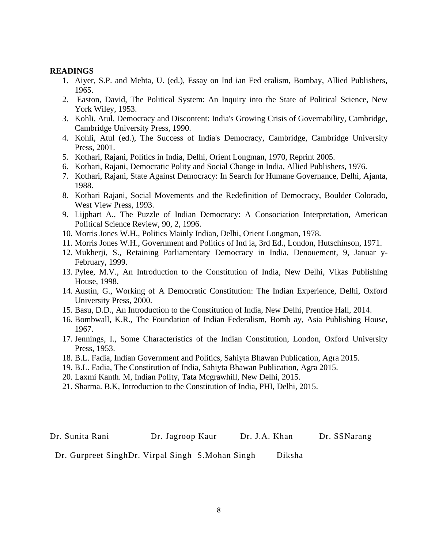- 1. Aiyer, S.P. and Mehta, U. (ed.), Essay on Ind ian Fed eralism, Bombay, Allied Publishers, 1965.
- 2. Easton, David, The Political System: An Inquiry into the State of Political Science, New York Wiley, 1953.
- 3. Kohli, Atul, Democracy and Discontent: India's Growing Crisis of Governability, Cambridge, Cambridge University Press, 1990.
- 4. Kohli, Atul (ed.), The Success of India's Democracy, Cambridge, Cambridge University Press, 2001.
- 5. Kothari, Rajani, Politics in India, Delhi, Orient Longman, 1970, Reprint 2005.
- 6. Kothari, Rajani, Democratic Polity and Social Change in India, Allied Publishers, 1976.
- 7. Kothari, Rajani, State Against Democracy: In Search for Humane Governance, Delhi, Ajanta, 1988.
- 8. Kothari Rajani, Social Movements and the Redefinition of Democracy, Boulder Colorado, West View Press, 1993.
- 9. Lijphart A., The Puzzle of Indian Democracy: A Consociation Interpretation, American Political Science Review, 90, 2, 1996.
- 10. Morris Jones W.H., Politics Mainly Indian, Delhi, Orient Longman, 1978.
- 11. Morris Jones W.H., Government and Politics of Ind ia, 3rd Ed., London, Hutschinson, 1971.
- 12. Mukherji, S., Retaining Parliamentary Democracy in India, Denouement, 9, Januar y-February, 1999.
- 13. Pylee, M.V., An Introduction to the Constitution of India, New Delhi, Vikas Publishing House, 1998.
- 14. Austin, G., Working of A Democratic Constitution: The Indian Experience, Delhi, Oxford University Press, 2000.
- 15. Basu, D.D., An Introduction to the Constitution of India, New Delhi, Prentice Hall, 2014.
- 16. Bombwall, K.R., The Foundation of Indian Federalism, Bomb ay, Asia Publishing House, 1967.
- 17. Jennings, I., Some Characteristics of the Indian Constitution, London, Oxford University Press, 1953.
- 18. B.L. Fadia, Indian Government and Politics, Sahiyta Bhawan Publication, Agra 2015.
- 19. B.L. Fadia, The Constitution of India, Sahiyta Bhawan Publication, Agra 2015.
- 20. Laxmi Kanth. M, Indian Polity, Tata Mcgrawhill, New Delhi, 2015.
- 21. Sharma. B.K, Introduction to the Constitution of India, PHI, Delhi, 2015.

Dr. Sunita Rani Dr. Jagroop Kaur Dr. J.A. Khan Dr. SSNarang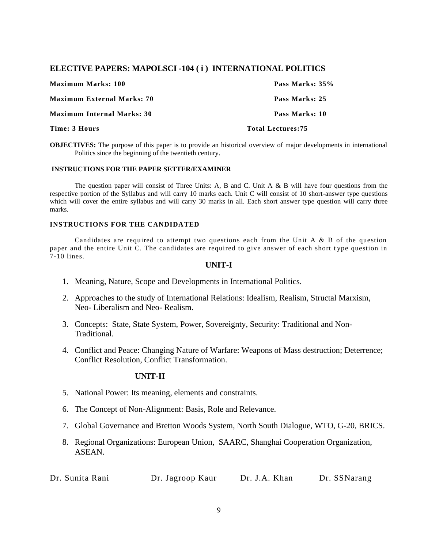# **ELECTIVE PAPERS: MAPOLSCI -104 ( i ) INTERNATIONAL POLITICS**

| <b>Maximum Marks: 100</b>         | Pass Marks: 35%   |
|-----------------------------------|-------------------|
| Maximum External Marks: 70        | Pass Marks: 25    |
| <b>Maximum Internal Marks: 30</b> | Pass Marks: 10    |
| Time: 3 Hours                     | Total Lectures:75 |

**OBJECTIVES:** The purpose of this paper is to provide an historical overview of major developments in international Politics since the beginning of the twentieth century.

#### **INSTRUCTIONS FOR THE PAPER SETTER/EXAMINER**

The question paper will consist of Three Units: A, B and C. Unit A & B will have four questions from the respective portion of the Syllabus and will carry 10 marks each. Unit C will consist of 10 short-answer type questions which will cover the entire syllabus and will carry 30 marks in all. Each short answer type question will carry three marks.

#### **INSTRUCTIONS FOR THE CANDIDATED**

Candidates are required to attempt two questions each from the Unit A  $\&$  B of the question paper and the entire Unit C. The candidates are required to give answer of each short t ype question in 7-10 lines.

#### **UNIT-I**

- 1. Meaning, Nature, Scope and Developments in International Politics.
- 2. Approaches to the study of International Relations: Idealism, Realism, Structal Marxism, Neo- Liberalism and Neo- Realism.
- 3. Concepts: State, State System, Power, Sovereignty, Security: Traditional and Non-**Traditional**
- 4. Conflict and Peace: Changing Nature of Warfare: Weapons of Mass destruction; Deterrence; Conflict Resolution, Conflict Transformation.

#### **UNIT-II**

- 5. National Power: Its meaning, elements and constraints.
- 6. The Concept of Non-Alignment: Basis, Role and Relevance.
- 7. Global Governance and Bretton Woods System, North South Dialogue, WTO, G-20, BRICS.
- 8. Regional Organizations: European Union, SAARC, Shanghai Cooperation Organization, ASEAN.

| Dr. Sunita Rani | Dr. Jagroop Kaur | Dr. J.A. Khan | Dr. SSNarang |
|-----------------|------------------|---------------|--------------|
|-----------------|------------------|---------------|--------------|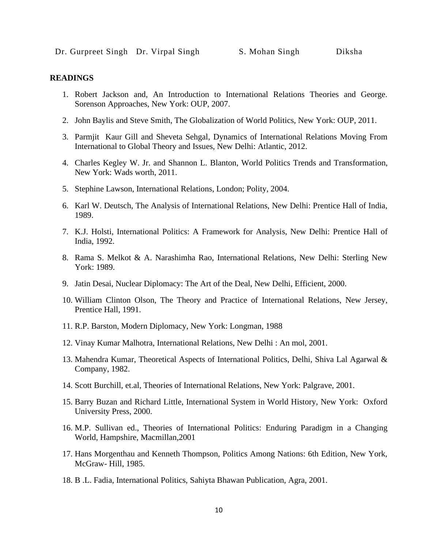- 1. Robert Jackson and, An Introduction to International Relations Theories and George. Sorenson Approaches, New York: OUP, 2007.
- 2. John Baylis and Steve Smith, The Globalization of World Politics, New York: OUP, 2011.
- 3. Parmjit Kaur Gill and Sheveta Sehgal, Dynamics of International Relations Moving From International to Global Theory and Issues, New Delhi: Atlantic, 2012.
- 4. Charles Kegley W. Jr. and Shannon L. Blanton, World Politics Trends and Transformation, New York: Wads worth, 2011.
- 5. Stephine Lawson, International Relations, London; Polity, 2004.
- 6. Karl W. Deutsch, The Analysis of International Relations, New Delhi: Prentice Hall of India, 1989.
- 7. K.J. Holsti, International Politics: A Framework for Analysis, New Delhi: Prentice Hall of India, 1992.
- 8. Rama S. Melkot & A. Narashimha Rao, International Relations, New Delhi: Sterling New York: 1989.
- 9. Jatin Desai, Nuclear Diplomacy: The Art of the Deal, New Delhi, Efficient, 2000.
- 10. William Clinton Olson, The Theory and Practice of International Relations, New Jersey, Prentice Hall, 1991.
- 11. R.P. Barston, Modern Diplomacy, New York: Longman, 1988
- 12. Vinay Kumar Malhotra, International Relations, New Delhi : An mol, 2001.
- 13. Mahendra Kumar, Theoretical Aspects of International Politics, Delhi, Shiva Lal Agarwal & Company, 1982.
- 14. Scott Burchill, et.al, Theories of International Relations, New York: Palgrave, 2001.
- 15. Barry Buzan and Richard Little, International System in World History, New York: Oxford University Press, 2000.
- 16. M.P. Sullivan ed., Theories of International Politics: Enduring Paradigm in a Changing World, Hampshire, Macmillan,2001
- 17. Hans Morgenthau and Kenneth Thompson, Politics Among Nations: 6th Edition, New York, McGraw- Hill, 1985.
- 18. B .L. Fadia, International Politics, Sahiyta Bhawan Publication, Agra, 2001.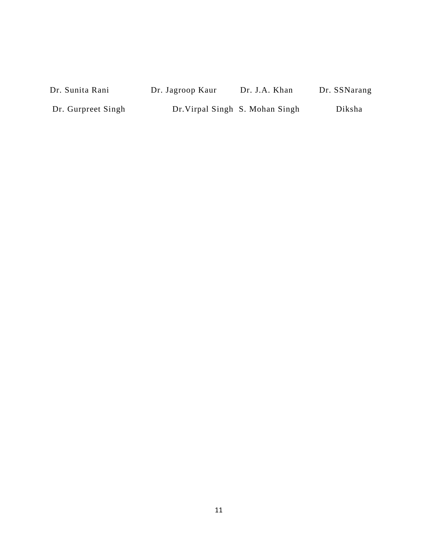Dr. Sunita Rani Dr. Jagroop Kaur Dr. J.A. Khan Dr. SSNarang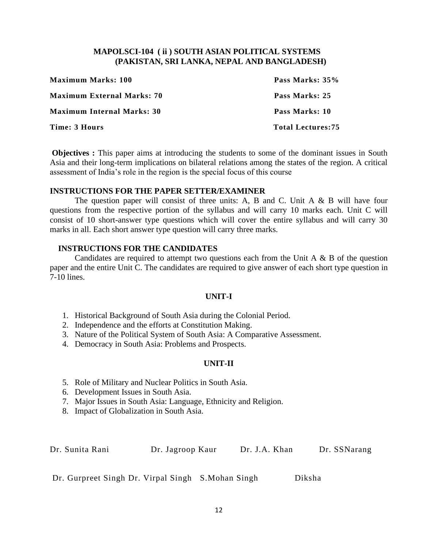# **MAPOLSCI-104 ( ii ) SOUTH ASIAN POLITICAL SYSTEMS (PAKISTAN, SRI LANKA, NEPAL AND BANGLADESH)**

| <b>Maximum Marks: 100</b>         | Pass Marks: 35%          |
|-----------------------------------|--------------------------|
| <b>Maximum External Marks: 70</b> | Pass Marks: 25           |
| <b>Maximum Internal Marks: 30</b> | Pass Marks: 10           |
| Time: 3 Hours                     | <b>Total Lectures:75</b> |

**Objectives :** This paper aims at introducing the students to some of the dominant issues in South Asia and their long-term implications on bilateral relations among the states of the region. A critical assessment of India's role in the region is the special focus of this course

# **INSTRUCTIONS FOR THE PAPER SETTER/EXAMINER**

The question paper will consist of three units: A, B and C. Unit  $A \& B$  will have four questions from the respective portion of the syllabus and will carry 10 marks each. Unit C will consist of 10 short-answer type questions which will cover the entire syllabus and will carry 30 marks in all. Each short answer type question will carry three marks.

# **INSTRUCTIONS FOR THE CANDIDATES**

Candidates are required to attempt two questions each from the Unit A  $\&$  B of the question paper and the entire Unit C. The candidates are required to give answer of each short type question in 7-10 lines.

# **UNIT-I**

- 1. Historical Background of South Asia during the Colonial Period.
- 2. Independence and the efforts at Constitution Making.
- 3. Nature of the Political System of South Asia: A Comparative Assessment.
- 4. Democracy in South Asia: Problems and Prospects.

# **UNIT-II**

- 5. Role of Military and Nuclear Politics in South Asia.
- 6. Development Issues in South Asia.
- 7. Major Issues in South Asia: Language, Ethnicity and Religion.
- 8. Impact of Globalization in South Asia.

Dr. Sunita Rani Dr. Jagroop Kaur Dr. J.A. Khan Dr. SSNarang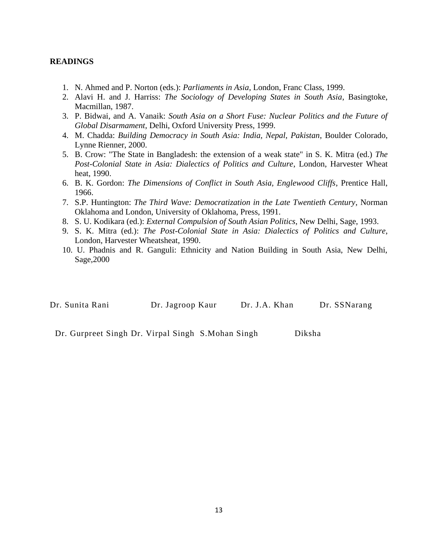- 1. N. Ahmed and P. Norton (eds.): *Parliaments in Asia*, London, Franc Class, 1999.
- 2. Alavi H. and J. Harriss: *The Sociology of Developing States in South Asia*, Basingtoke, Macmillan, 1987.
- 3. P. Bidwai, and A. Vanaik: *South Asia on a Short Fuse: Nuclear Politics and the Future of Global Disarmament*, Delhi, Oxford University Press, 1999.
- 4. M. Chadda: *Building Democracy in South Asia: India, Nepal, Pakistan*, Boulder Colorado, Lynne Rienner, 2000.
- 5. B. Crow: "The State in Bangladesh: the extension of a weak state" in S. K. Mitra (ed.) *The Post-Colonial State in Asia: Dialectics of Politics and Culture*, London, Harvester Wheat heat, 1990.
- 6. B. K. Gordon: *The Dimensions of Conflict in South Asia, Englewood Cliffs*, Prentice Hall, 1966.
- 7. S.P. Huntington: *The Third Wave: Democratization in the Late Twentieth Century*, Norman Oklahoma and London, University of Oklahoma, Press, 1991.
- 8. S. U. Kodikara (ed.): *External Compulsion of South Asian Politics*, New Delhi, Sage, 1993.
- 9. S. K. Mitra (ed.): *The Post-Colonial State in Asia: Dialectics of Politics and Culture*, London, Harvester Wheatsheat, 1990.
- 10. U. Phadnis and R. Ganguli: Ethnicity and Nation Building in South Asia, New Delhi, Sage,2000

| Dr. Sunita Rani | Dr. Jagroop Kaur | Dr. J.A. Khan | Dr. SSNarang |
|-----------------|------------------|---------------|--------------|
|                 |                  |               |              |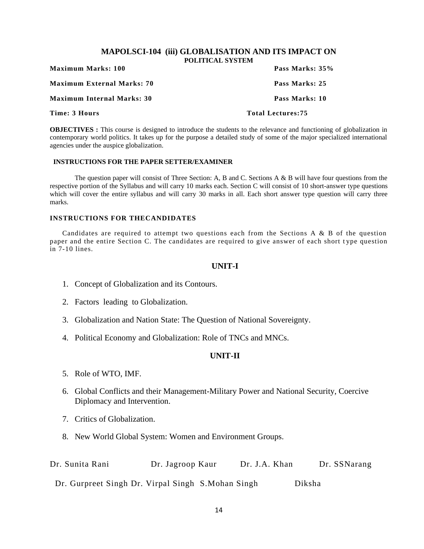#### **MAPOLSCI-104 (iii) GLOBALISATION AND ITS IMPACT ON POLITICAL SYSTEM**

| <b>Maximum Marks: 100</b>         | 1 \/LITI\.ALUTIUTEN<br>Pass Marks: 35% |
|-----------------------------------|----------------------------------------|
| Maximum External Marks: 70        | Pass Marks: 25                         |
| <b>Maximum Internal Marks: 30</b> | Pass Marks: 10                         |
| Time: 3 Hours                     | <b>Total Lectures:75</b>               |

**OBJECTIVES**: This course is designed to introduce the students to the relevance and functioning of globalization in contemporary world politics. It takes up for the purpose a detailed study of some of the major specialized international agencies under the auspice globalization.

# **INSTRUCTIONS FOR THE PAPER SETTER/EXAMINER**

The question paper will consist of Three Section: A, B and C. Sections A & B will have four questions from the respective portion of the Syllabus and will carry 10 marks each. Section C will consist of 10 short-answer type questions which will cover the entire syllabus and will carry 30 marks in all. Each short answer type question will carry three marks.

#### **INSTRUCTIONS FOR THECANDIDATES**

Candidates are required to attempt two questions each from the Sections A & B of the question paper and the entire Section C. The candidates are required to give answer of each short t ype question in 7-10 lines.

#### **UNIT-I**

- 1. Concept of Globalization and its Contours.
- 2. Factors leading to Globalization.
- 3. Globalization and Nation State: The Question of National Sovereignty.
- 4. Political Economy and Globalization: Role of TNCs and MNCs.

# **UNIT-II**

- 5. Role of WTO, IMF.
- 6. Global Conflicts and their Management-Military Power and National Security, Coercive Diplomacy and Intervention.
- 7. Critics of Globalization.
- 8. New World Global System: Women and Environment Groups.

| Dr. Sunita Rani                                    | Dr. Jagroop Kaur | Dr. J.A. Khan | Dr. SSNarang |
|----------------------------------------------------|------------------|---------------|--------------|
| Dr. Gurpreet Singh Dr. Virpal Singh S. Mohan Singh |                  |               | Diksha       |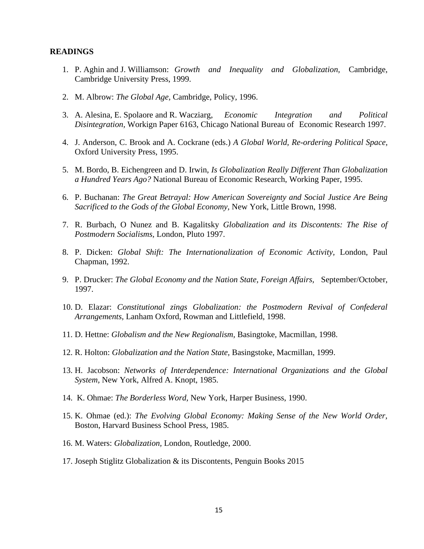- 1. P. Aghin and J. Williamson: *Growth and Inequality and Globalization,* Cambridge, Cambridge University Press, 1999.
- 2. M. Albrow: *The Global Age,* Cambridge, Policy, 1996.
- 3. A. Alesina, E. Spolaore and R. Wacziarg, *Economic Integration and Political Disintegration,* Workign Paper 6163, Chicago National Bureau of Economic Research 1997.
- 4. J. Anderson, C. Brook and A. Cockrane (eds.) *A Global World, Re-ordering Political Space,*  Oxford University Press, 1995.
- 5. M. Bordo, B. Eichengreen and D. Irwin, *Is Globalization Really Different Than Globalization a Hundred Years Ago?* National Bureau of Economic Research, Working Paper, 1995.
- 6. P. Buchanan: *The Great Betrayal: How American Sovereignty and Social Justice Are Being Sacrificed to the Gods of the Global Economy,* New York, Little Brown, 1998.
- 7. R. Burbach, O Nunez and B. Kagalitsky *Globalization and its Discontents: The Rise of Postmodern Socialisms,* London, Pluto 1997.
- 8. P. Dicken: *Global Shift: The Internationalization of Economic Activity,* London, Paul Chapman, 1992.
- 9. P. Drucker: *The Global Economy and the Nation State, Foreign Affairs,* September/October, 1997.
- 10. D. Elazar: *Constitutional zings Globalization: the Postmodern Revival of Confederal Arrangements,* Lanham Oxford, Rowman and Littlefield, 1998.
- 11. D. Hettne: *Globalism and the New Regionalism,* Basingtoke, Macmillan, 1998.
- 12. R. Holton: *Globalization and the Nation State,* Basingstoke, Macmillan, 1999.
- 13. H. Jacobson: *Networks of Interdependence: International Organizations and the Global System,* New York, Alfred A. Knopt, 1985.
- 14. K. Ohmae: *The Borderless Word,* New York, Harper Business, 1990.
- 15. K. Ohmae (ed.): *The Evolving Global Economy: Making Sense of the New World Order,*  Boston, Harvard Business School Press, 1985.
- 16. M. Waters: *Globalization,* London, Routledge, 2000.
- 17. Joseph Stiglitz Globalization & its Discontents, Penguin Books 2015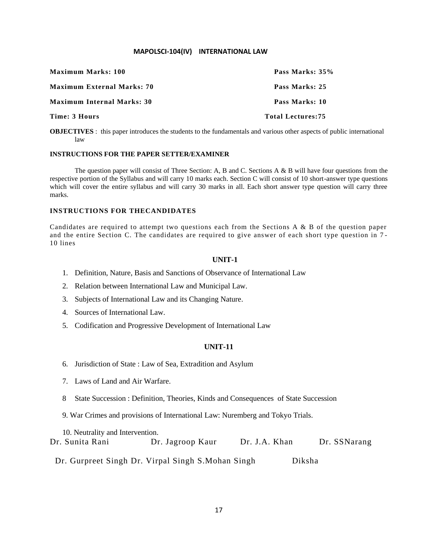#### **MAPOLSCI-104(IV) INTERNATIONAL LAW**

| <b>Maximum Marks: 100</b>         | Pass Marks: 35%          |
|-----------------------------------|--------------------------|
| <b>Maximum External Marks: 70</b> | Pass Marks: 25           |
| <b>Maximum Internal Marks: 30</b> | Pass Marks: 10           |
| Time: 3 Hours                     | <b>Total Lectures:75</b> |

**OBJECTIVES** : this paper introduces the students to the fundamentals and various other aspects of public international law

#### **INSTRUCTIONS FOR THE PAPER SETTER/EXAMINER**

The question paper will consist of Three Section: A, B and C. Sections A & B will have four questions from the respective portion of the Syllabus and will carry 10 marks each. Section C will consist of 10 short-answer type questions which will cover the entire syllabus and will carry 30 marks in all. Each short answer type question will carry three marks.

#### **INSTRUCTIONS FOR THECANDIDATES**

Candidates are required to attempt two questions each from the Sections A & B of the question paper and the entire Section C. The candidates are required to give answer of each short type question in 7 - 10 lines

#### **UNIT-1**

- 1. Definition, Nature, Basis and Sanctions of Observance of International Law
- 2. Relation between International Law and Municipal Law.
- 3. Subjects of International Law and its Changing Nature.
- 4. Sources of International Law.
- 5. Codification and Progressive Development of International Law

#### **UNIT-11**

- 6. Jurisdiction of State : Law of Sea, Extradition and Asylum
- 7. Laws of Land and Air Warfare.
- 8 State Succession : Definition, Theories, Kinds and Consequences of State Succession
- 9. War Crimes and provisions of International Law: Nuremberg and Tokyo Trials.

10. Neutrality and Intervention.

Dr. Sunita Rani Dr. Jagroop Kaur Dr. J.A. Khan Dr. SSNarang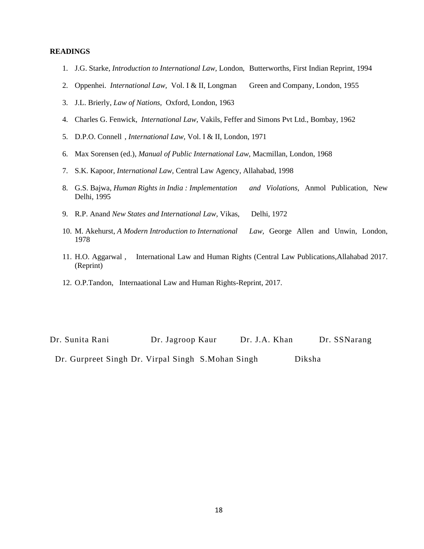- 1. J.G. Starke, *Introduction to International Law,* London, Butterworths, First Indian Reprint, 1994
- 2. Oppenhei. *International Law,* Vol. I & II, Longman Green and Company, London, 1955
- 3. J.L. Brierly, *Law of Nations,* Oxford, London, 1963
- 4. Charles G. Fenwick, *International Law,* Vakils, Feffer and Simons Pvt Ltd., Bombay, 1962
- 5. D.P.O. Connell , *International Law,* Vol. I & II, London, 1971
- 6. Max Sorensen (ed.), *Manual of Public International Law,* Macmillan, London, 1968
- 7. S.K. Kapoor, *International Law,* Central Law Agency, Allahabad, 1998
- 8. G.S. Bajwa, *Human Rights in India : Implementation and Violations,* Anmol Publication, New Delhi, 1995
- 9. R.P. Anand *New States and International Law,* Vikas, Delhi, 1972
- 10. M. Akehurst, *A Modern Introduction to International Law,* George Allen and Unwin, London, 1978
- 11. H.O. Aggarwal , International Law and Human Rights (Central Law Publications,Allahabad 2017. (Reprint)
- 12. O.P.Tandon, Internaational Law and Human Rights-Reprint, 2017.

| Dr. Sunita Rani                                    | Dr. Jagroop Kaur | Dr. J.A. Khan | Dr. SSNarang |
|----------------------------------------------------|------------------|---------------|--------------|
| Dr. Gurpreet Singh Dr. Virpal Singh S. Mohan Singh |                  | Diksha        |              |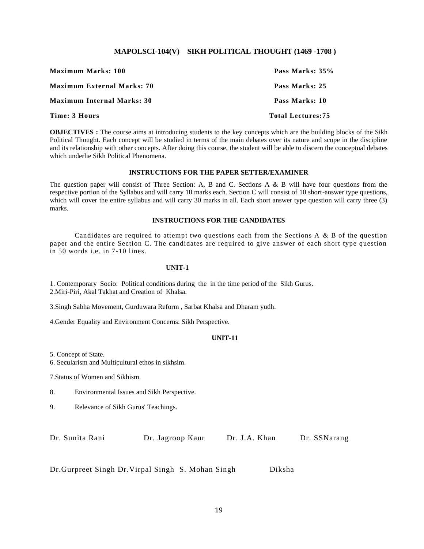#### **MAPOLSCI-104(V) SIKH POLITICAL THOUGHT (1469 -1708 )**

| <b>Maximum Marks: 100</b>         | Pass Marks: 35%          |
|-----------------------------------|--------------------------|
| <b>Maximum External Marks: 70</b> | Pass Marks: 25           |
| <b>Maximum Internal Marks: 30</b> | Pass Marks: 10           |
| Time: 3 Hours                     | <b>Total Lectures:75</b> |

**OBJECTIVES**: The course aims at introducing students to the key concepts which are the building blocks of the Sikh Political Thought. Each concept will be studied in terms of the main debates over its nature and scope in the discipline and its relationship with other concepts. After doing this course, the student will be able to discern the conceptual debates which underlie Sikh Political Phenomena.

#### **INSTRUCTIONS FOR THE PAPER SETTER/EXAMINER**

The question paper will consist of Three Section: A, B and C. Sections A & B will have four questions from the respective portion of the Syllabus and will carry 10 marks each. Section C will consist of 10 short-answer type questions, which will cover the entire syllabus and will carry 30 marks in all. Each short answer type question will carry three (3) marks.

#### **INSTRUCTIONS FOR THE CANDIDATES**

Candidates are required to attempt two questions each from the Sections A & B of the question paper and the entire Section C. The candidates are required to give answer of each short type question in 50 words i.e. in 7-10 lines.

#### **UNIT-1**

1. Contemporary Socio: Political conditions during the in the time period of the Sikh Gurus. 2.Miri-Piri, Akal Takhat and Creation of Khalsa.

3.Singh Sabha Movement, Gurduwara Reform , Sarbat Khalsa and Dharam yudh.

4.Gender Equality and Environment Concerns: Sikh Perspective.

#### **UNIT-11**

5. Concept of State.

6. Secularism and Multicultural ethos in sikhsim.

7.Status of Women and Sikhism.

- 8. Environmental Issues and Sikh Perspective.
- 9. Relevance of Sikh Gurus' Teachings.

Dr. Sunita Rani Dr. Jagroop Kaur Dr. J.A. Khan Dr. SSNarang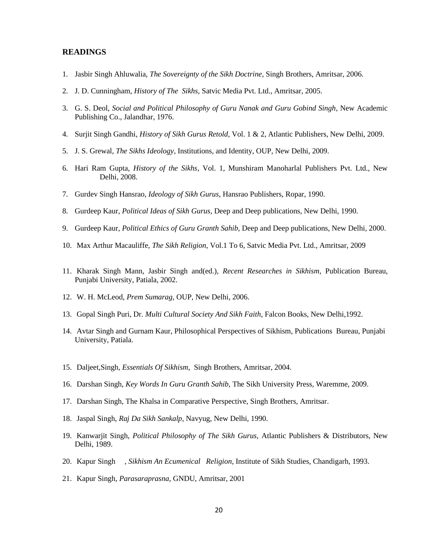- 1. Jasbir Singh Ahluwalia, *The Sovereignty of the Sikh Doctrine*, Singh Brothers, Amritsar, 2006.
- 2. J. D. Cunningham, *History of The Sikhs*, Satvic Media Pvt. Ltd., Amritsar, 2005.
- 3. G. S. Deol, *Social and Political Philosophy of Guru Nanak and Guru Gobind Singh*, New Academic Publishing Co., Jalandhar, 1976.
- 4. Surjit Singh Gandhi, *History of Sikh Gurus Retold,* Vol. 1 & 2, Atlantic Publishers, New Delhi, 2009.
- 5. J. S. Grewal, *The Sikhs Ideology*, Institutions, and Identity, OUP, New Delhi, 2009.
- 6. Hari Ram Gupta, *History of the Sikhs*, Vol. 1, Munshiram Manoharlal Publishers Pvt. Ltd., New Delhi, 2008.
- 7. Gurdev Singh Hansrao, *Ideology of Sikh Gurus*, Hansrao Publishers, Ropar, 1990.
- 8. Gurdeep Kaur, *Political Ideas of Sikh Gurus,* Deep and Deep publications, New Delhi, 1990.
- 9. Gurdeep Kaur, *Political Ethics of Guru Granth Sahib,* Deep and Deep publications, New Delhi, 2000.
- 10. Max Arthur Macauliffe, *The Sikh Religion*, Vol.1 To 6, Satvic Media Pvt. Ltd., Amritsar, 2009
- 11. Kharak Singh Mann, Jasbir Singh and(ed.), *Recent Researches in Sikhism*, Publication Bureau, Punjabi University, Patiala, 2002.
- 12. W. H. McLeod, *Prem Sumarag*, OUP, New Delhi, 2006.
- 13. Gopal Singh Puri, Dr. *Multi Cultural Society And Sikh Faith*, Falcon Books, New Delhi,1992.
- 14. Avtar Singh and Gurnam Kaur, Philosophical Perspectives of Sikhism, Publications Bureau, Punjabi University, Patiala.
- 15. Daljeet,Singh, *Essentials Of Sikhism*, Singh Brothers, Amritsar, 2004.
- 16. Darshan Singh, *Key Words In Guru Granth Sahib,* The Sikh University Press, Waremme, 2009.
- 17. Darshan Singh, The Khalsa in Comparative Perspective, Singh Brothers, Amritsar.
- 18. Jaspal Singh, *Raj Da Sikh Sankalp*, Navyug, New Delhi, 1990.
- 19. Kanwarjit Singh, *Political Philosophy of The Sikh Gurus,* Atlantic Publishers & Distributors, New Delhi, 1989.
- 20. Kapur Singh , *Sikhism An Ecumenical Religion*, Institute of Sikh Studies, Chandigarh, 1993.
- 21. Kapur Singh, *Parasaraprasna*, GNDU, Amritsar, 2001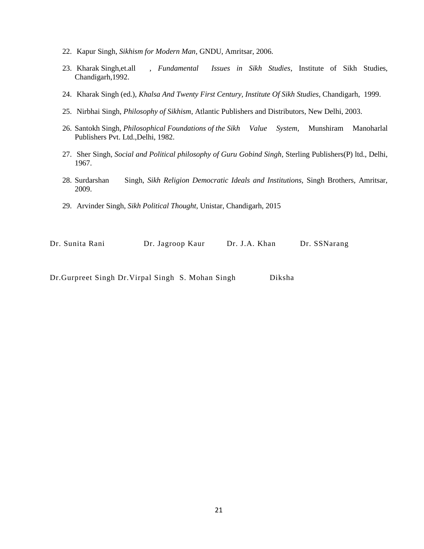- 22. Kapur Singh, *Sikhism for Modern Man*, GNDU, Amritsar, 2006.
- 23. Kharak Singh,et.all , *Fundamental Issues in Sikh Studies*, Institute of Sikh Studies, Chandigarh,1992.
- 24. Kharak Singh (ed.), *Khalsa And Twenty First Century, Institute Of Sikh Studies,* Chandigarh, 1999.
- 25. Nirbhai Singh, *Philosophy of Sikhism*, Atlantic Publishers and Distributors, New Delhi, 2003.
- 26. Santokh Singh, *Philosophical Foundations of the Sikh Value System*, Munshiram Manoharlal Publishers Pvt. Ltd.,Delhi, 1982.
- 27. Sher Singh, *Social and Political philosophy of Guru Gobind Singh*, Sterling Publishers(P) ltd., Delhi, 1967.
- 28. Surdarshan Singh, *Sikh Religion Democratic Ideals and Institutions,* Singh Brothers, Amritsar, 2009.
- 29. Arvinder Singh, *Sikh Political Thought*, Unistar, Chandigarh, 2015

| Dr. Sunita Rani | Dr. Jagroop Kaur | Dr. J.A. Khan | Dr. SSNarang |
|-----------------|------------------|---------------|--------------|
|-----------------|------------------|---------------|--------------|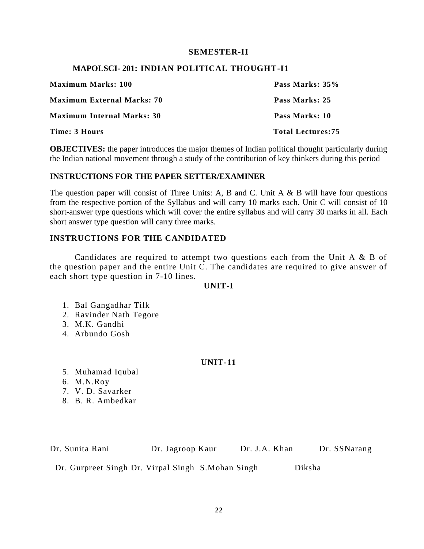# **SEMESTER-II**

# **MAPOLSCI- 201: INDIAN POLITICAL THOUGHT-I1**

| <b>Maximum Marks: 100</b>         | Pass Marks: 35%          |
|-----------------------------------|--------------------------|
| <b>Maximum External Marks: 70</b> | Pass Marks: 25           |
| <b>Maximum Internal Marks: 30</b> | Pass Marks: 10           |
| Time: 3 Hours                     | <b>Total Lectures:75</b> |

**OBJECTIVES:** the paper introduces the major themes of Indian political thought particularly during the Indian national movement through a study of the contribution of key thinkers during this period

# **INSTRUCTIONS FOR THE PAPER SETTER/EXAMINER**

The question paper will consist of Three Units: A, B and C. Unit  $A \& B$  will have four questions from the respective portion of the Syllabus and will carry 10 marks each. Unit C will consist of 10 short-answer type questions which will cover the entire syllabus and will carry 30 marks in all. Each short answer type question will carry three marks.

# **INSTRUCTIONS FOR THE CANDIDATED**

Candidates are required to attempt two questions each from the Unit A & B of the question paper and the entire Unit C. The candidates are required to give answer of each short type question in 7-10 lines.

# **UNIT-I**

- 1. Bal Gangadhar Tilk
- 2. Ravinder Nath Tegore
- 3. M.K. Gandhi
- 4. Arbundo Gosh

# **UNIT-11**

- 5. Muhamad Iqubal
- 6. M.N.Roy
- 7. V. D. Savarker
- 8. B. R. Ambedkar

Dr. Sunita Rani Dr. Jagroop Kaur Dr. J.A. Khan Dr. SSNarang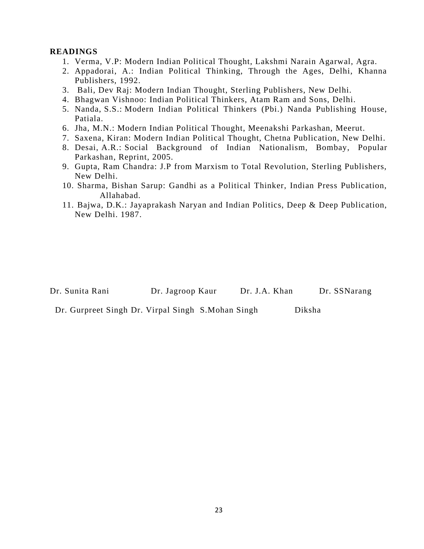- 1. Verma, V.P: Modern Indian Political Thought, Lakshmi Narain Agarwal, Agra.
- 2. Appadorai, A.: Indian Political Thinking, Through the Ages, Delhi, Khanna Publishers, 1992.
- 3. Bali, Dev Raj: Modern Indian Thought, Sterling Publishers, New Delhi.
- 4. Bhagwan Vishnoo: Indian Political Thinkers, Atam Ram and Sons, Delhi.
- 5. Nanda, S.S.: Modern Indian Political Thinkers (Pbi.) Nanda Publishing House, Patiala.
- 6. Jha, M.N.: Modern Indian Political Thought, Meenakshi Parkashan, Meerut.
- 7. Saxena, Kiran: Modern Indian Political Thought, Chetna Publication, New Delhi.
- 8. Desai, A.R.: Social Background of Indian Nationalism, Bombay, Popular Parkashan, Reprint, 2005.
- 9. Gupta, Ram Chandra: J.P from Marxism to Total Revolution, Sterling Publishers, New Delhi.
- 10. Sharma, Bishan Sarup: Gandhi as a Political Thinker, Indian Press Publication, Allahabad.
- 11. Bajwa, D.K.: Jayaprakash Naryan and Indian Politics, Deep & Deep Publication, New Delhi. 1987.

Dr. Sunita Rani Dr. Jagroop Kaur Dr. J.A. Khan Dr. SSNarang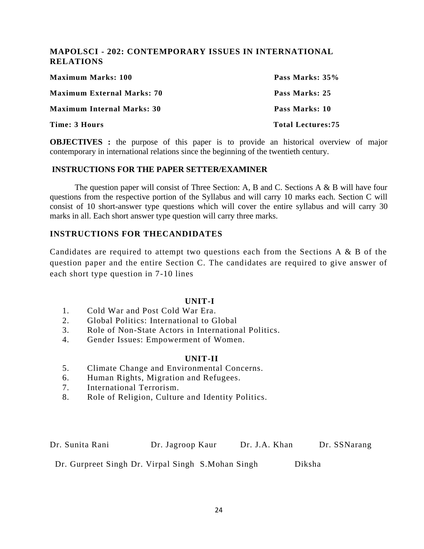# **MAPOLSCI - 202: CONTEMPORARY ISSUES IN INTERNATIONAL RELATIONS**

| <b>Maximum Marks: 100</b>         | Pass Marks: 35%          |
|-----------------------------------|--------------------------|
| <b>Maximum External Marks: 70</b> | Pass Marks: 25           |
| <b>Maximum Internal Marks: 30</b> | Pass Marks: 10           |
| Time: 3 Hours                     | <b>Total Lectures:75</b> |

**OBJECTIVES**: the purpose of this paper is to provide an historical overview of major contemporary in international relations since the beginning of the twentieth century.

# **INSTRUCTIONS FOR THE PAPER SETTER/EXAMINER**

The question paper will consist of Three Section: A, B and C. Sections A & B will have four questions from the respective portion of the Syllabus and will carry 10 marks each. Section C will consist of 10 short-answer type questions which will cover the entire syllabus and will carry 30 marks in all. Each short answer type question will carry three marks.

# **INSTRUCTIONS FOR THECANDIDATES**

Candidates are required to attempt two questions each from the Sections A & B of the question paper and the entire Section C. The candidates are required to give answer of each short type question in 7-10 lines

# **UNIT-I**

- 1. Cold War and Post Cold War Era.
- 2. Global Politics: International to Global
- 3. Role of Non-State Actors in International Politics.
- 4. Gender Issues: Empowerment of Women.

# **UNIT-II**

- 5. Climate Change and Environmental Concerns.
- 6. Human Rights, Migration and Refugees.
- 7. International Terrorism.
- 8. Role of Religion, Culture and Identity Politics.

Dr. Sunita Rani Dr. Jagroop Kaur Dr. J.A. Khan Dr. SSNarang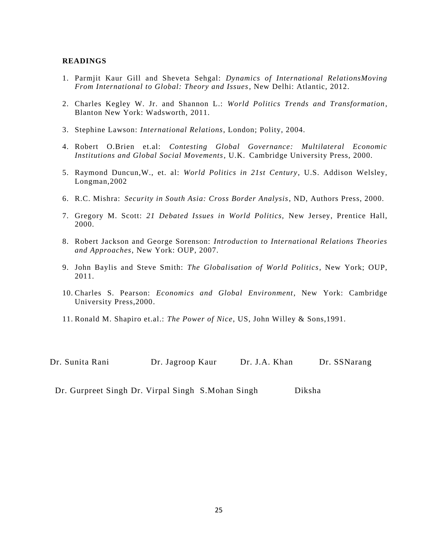- 1. Parmjit Kaur Gill and Sheveta Sehgal: *Dynamics of International RelationsMoving From International to Global: Theory and Issues*, New Delhi: Atlantic, 2012.
- 2. Charles Kegley W. Jr. and Shannon L.: *World Politics Trends and Transformation*, Blanton New York: Wadsworth, 2011.
- 3. Stephine Lawson: *International Relations*, London; Polity, 2004.
- 4. Robert O.Brien et.al: *Contesting Global Governance: Multilateral Economic Institutions and Global Social Movements*, U.K. Cambridge University Press, 2000.
- 5. Raymond Duncun,W., et. al: *World Politics in 21st Century*, U.S. Addison Welsley, Longman,2002
- 6. R.C. Mishra: *Security in South Asia: Cross Border Analysis*, ND, Authors Press, 2000.
- 7. Gregory M. Scott: *21 Debated Issues in World Politics,* New Jersey, Prentice Hall, 2000.
- 8. Robert Jackson and George Sorenson: *Introduction to International Relations Theories and Approaches*, New York: OUP, 2007.
- 9. John Baylis and Steve Smith: *The Globalisation of World Politics*, New York; OUP, 2011.
- 10. Charles S. Pearson: *Economics and Global Environment*, New York: Cambridge University Press,2000.
- 11. Ronald M. Shapiro et.al.: *The Power of Nice*, US, John Willey & Sons,1991.

| Dr. Sunita Rani | Dr. Jagroop Kaur | Dr. J.A. Khan | Dr. SSNarang |
|-----------------|------------------|---------------|--------------|
|-----------------|------------------|---------------|--------------|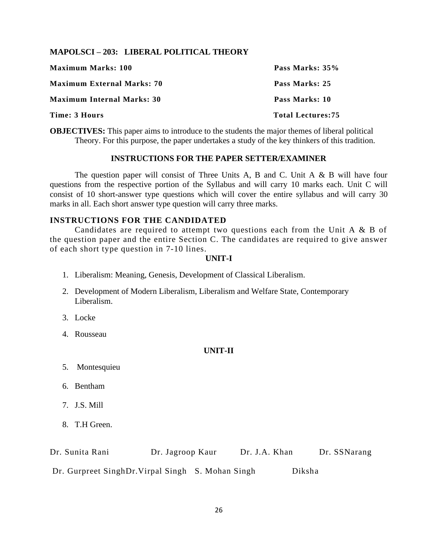# **MAPOLSCI – 203: LIBERAL POLITICAL THEORY**

| <b>Maximum Marks: 100</b>         | Pass Marks: 35%          |
|-----------------------------------|--------------------------|
| <b>Maximum External Marks: 70</b> | Pass Marks: 25           |
| <b>Maximum Internal Marks: 30</b> | Pass Marks: 10           |
| Time: 3 Hours                     | <b>Total Lectures:75</b> |

**OBJECTIVES:** This paper aims to introduce to the students the major themes of liberal political Theory. For this purpose, the paper undertakes a study of the key thinkers of this tradition.

#### **INSTRUCTIONS FOR THE PAPER SETTER/EXAMINER**

The question paper will consist of Three Units A, B and C. Unit A & B will have four questions from the respective portion of the Syllabus and will carry 10 marks each. Unit C will consist of 10 short-answer type questions which will cover the entire syllabus and will carry 30 marks in all. Each short answer type question will carry three marks.

# **INSTRUCTIONS FOR THE CANDIDATED**

Candidates are required to attempt two questions each from the Unit A & B of the question paper and the entire Section C. The candidates are required to give answer of each short type question in 7-10 lines.

# **UNIT-I**

- 1. Liberalism: Meaning, Genesis, Development of Classical Liberalism.
- 2. Development of Modern Liberalism, Liberalism and Welfare State, Contemporary Liberalism.
- 3. Locke
- 4. Rousseau

# **UNIT-II**

- 5. Montesquieu
- 6. Bentham
- 7. J.S. Mill
- 8. T.H Green.

| Dr. Sunita Rani | Dr. Jagroop Kaur | Dr. J.A. Khan | Dr. SSNarang |
|-----------------|------------------|---------------|--------------|
|                 |                  |               |              |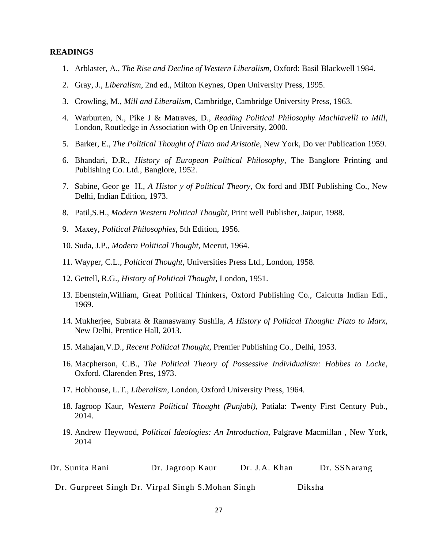- 1. Arblaster, A., *The Rise and Decline of Western Liberalism,* Oxford: Basil Blackwell 1984.
- 2. Gray, J., *Liberalism*, 2nd ed., Milton Keynes, Open University Press, 1995.
- 3. Crowling, M., *Mill and Liberalism*, Cambridge, Cambridge University Press, 1963.
- 4. Warburten, N., Pike J & Matraves, D., *Reading Political Philosophy Machiavelli to Mill*, London, Routledge in Association with Op en University, 2000.
- 5. Barker, E., *The Political Thought of Plato and Aristotle*, New York, Do ver Publication 1959.
- 6. Bhandari, D.R., *History of European Political Philosophy*, The Banglore Printing and Publishing Co. Ltd., Banglore, 1952.
- 7. Sabine, Geor ge H., *A Histor y of Political Theory*, Ox ford and JBH Publishing Co., New Delhi, Indian Edition, 1973.
- 8. Patil,S.H., *Modern Western Political Thought*, Print well Publisher, Jaipur, 1988.
- 9. Maxey, *Political Philosophies*, 5th Edition, 1956.
- 10. Suda, J.P., *Modern Political Thought,* Meerut, 1964.
- 11. Wayper, C.L., *Political Thought*, Universities Press Ltd., London, 1958.
- 12. Gettell, R.G., *History of Political Thought*, London, 1951.
- 13. Ebenstein,William, Great Political Thinkers, Oxford Publishing Co., Caicutta Indian Edi., 1969.
- 14. Mukherjee, Subrata & Ramaswamy Sushila, *A History of Political Thought: Plato to Marx,* New Delhi, Prentice Hall, 2013.
- 15. Mahajan,V.D., *Recent Political Thought,* Premier Publishing Co., Delhi, 1953.
- 16. Macpherson, C.B., *The Political Theory of Possessive Individualism: Hobbes to Locke*, Oxford. Clarenden Pres, 1973.
- 17. Hobhouse, L.T., *Liberalism*, London, Oxford University Press, 1964.
- 18. Jagroop Kaur, *Western Political Thought (Punjabi)*, Patiala: Twenty First Century Pub., 2014.
- 19. Andrew Heywood, *Political Ideologies: An Introduction*, Palgrave Macmillan , New York, 2014

| Dr. Sunita Rani<br>Dr. Jagroop Kaur | Dr. J.A. Khan<br>the contract of the contract of the contract of the contract of the contract of the contract of the contract of | Dr. SSNarang |
|-------------------------------------|----------------------------------------------------------------------------------------------------------------------------------|--------------|
|-------------------------------------|----------------------------------------------------------------------------------------------------------------------------------|--------------|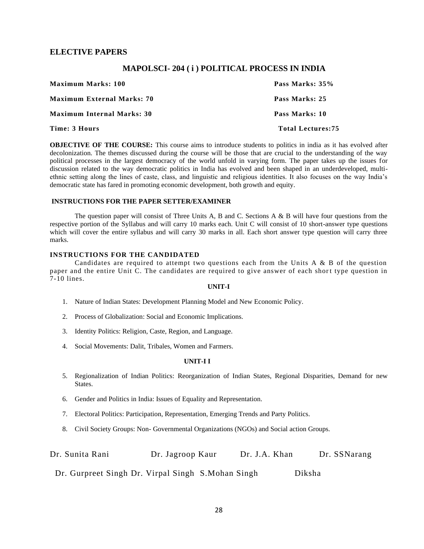# **ELECTIVE PAPERS**

#### **MAPOLSCI- 204 ( i ) POLITICAL PROCESS IN INDIA**

| <b>Maximum Marks: 100</b>         | Pass Marks: 35%          |
|-----------------------------------|--------------------------|
| <b>Maximum External Marks: 70</b> | Pass Marks: 25           |
| <b>Maximum Internal Marks: 30</b> | Pass Marks: 10           |
| Time: 3 Hours                     | <b>Total Lectures:75</b> |

**OBJECTIVE OF THE COURSE:** This course aims to introduce students to politics in india as it has evolved after decolonization. The themes discussed during the course will be those that are crucial to the understanding of the way political processes in the largest democracy of the world unfold in varying form. The paper takes up the issues for discussion related to the way democratic politics in India has evolved and been shaped in an underdeveloped, multiethnic setting along the lines of caste, class, and linguistic and religious identities. It also focuses on the way India's democratic state has fared in promoting economic development, both growth and equity.

#### **INSTRUCTIONS FOR THE PAPER SETTER/EXAMINER**

The question paper will consist of Three Units A, B and C. Sections  $A \& B$  will have four questions from the respective portion of the Syllabus and will carry 10 marks each. Unit C will consist of 10 short-answer type questions which will cover the entire syllabus and will carry 30 marks in all. Each short answer type question will carry three marks.

#### **INSTRUCTIONS FOR THE CANDIDATED**

Candidates are required to attempt two questions each from the Units A  $\&$  B of the question paper and the entire Unit C. The candidates are required to give answer of each short type question in 7-10 lines.

#### **UNIT-I**

- 1. Nature of Indian States: Development Planning Model and New Economic Policy.
- 2. Process of Globalization: Social and Economic Implications.
- 3. Identity Politics: Religion, Caste, Region, and Language.
- 4. Social Movements: Dalit, Tribales, Women and Farmers.

#### **UNIT-I I**

- 5. Regionalization of Indian Politics: Reorganization of Indian States, Regional Disparities, Demand for new States.
- 6. Gender and Politics in India: Issues of Equality and Representation.
- 7. Electoral Politics: Participation, Representation, Emerging Trends and Party Politics.
- 8. Civil Society Groups: Non- Governmental Organizations (NGOs) and Social action Groups.

| Dr. Sunita Rani | Dr. Jagroop Kaur | Dr. J.A. Khan | Dr. SSNarang |
|-----------------|------------------|---------------|--------------|
|-----------------|------------------|---------------|--------------|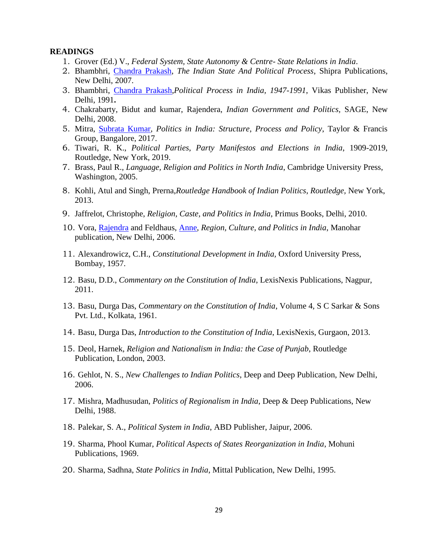- 1. Grover (Ed.) V., *Federal System, State Autonomy & Centre- State Relations in India*.
- 2. Bhambhri, [Chandra Prakash,](https://www.google.co.in/search?tbo=p&tbm=bks&q=inauthor:%22Chandra+Prakash+Bhambhri%22&source=gbs_metadata_r&cad=5) *The Indian State And Political Process*, Shipra Publications, New Delhi, 2007.
- 3. Bhambhri, [Chandra Prakash,](https://www.google.co.in/search?tbo=p&tbm=bks&q=inauthor:%22Chandra+Prakash+Bhambhri%22&source=gbs_metadata_r&cad=2)*Political Process in India, 1947-1991*, Vikas Publisher, New Delhi, 1991**.**
- 4. Chakrabarty, Bidut and kumar, Rajendera, *Indian Government and Politics,* SAGE, New Delhi, 2008.
- 5. Mitra, [Subrata Kumar,](https://www.google.co.in/search?tbo=p&tbm=bks&q=inauthor:%22Subrata+Kumar+Mitra%22&source=gbs_metadata_r&cad=4) *Politics in India: Structure*, *Process and Policy*, Taylor & Francis Group, Bangalore, 2017.
- 6. Tiwari, R. K., *Political Parties*, *Party Manifestos and Elections in India*, 1909-2019, Routledge, New York, 2019.
- 7. Brass, Paul R., *Language, Religion and Politics in North India*, Cambridge University Press, Washington, 2005.
- 8. Kohli, Atul and Singh, Prerna,*Routledge Handbook of Indian Politics*, *Routledge,* New York, 2013.
- 9. Jaffrelot, Christophe, *Religion, Caste, and Politics in India*, Primus Books, Delhi, 2010.
- 10. Vora, [Rajendra](https://www.google.co.in/search?tbo=p&tbm=bks&q=inauthor:%22Rajendra+Vora%22&source=gbs_metadata_r&cad=6) and Feldhaus, [Anne,](https://www.google.co.in/search?tbo=p&tbm=bks&q=inauthor:%22Anne+Feldhaus%22&source=gbs_metadata_r&cad=6) *Region, Culture, and Politics in India*, Manohar publication, New Delhi, 2006.
- 11. Alexandrowicz, C.H., *Constitutional Development in India,* Oxford University Press, Bombay, 1957.
- 12. Basu, D.D., *Commentary on the Constitution of India*, LexisNexis Publications, Nagpur, 2011.
- 13. [Basu,](https://www.google.co.in/search?tbo=p&tbm=bks&q=inauthor:%22Durga+Das+Basu%22&source=gbs_metadata_r&cad=7) Durga Das, *Commentary on the Constitution of India*, Volume 4, [S C Sarkar & Sons](https://www.indiamart.com/sc-sarkar-pvtltd/#home)  [Pvt. Ltd.](https://www.indiamart.com/sc-sarkar-pvtltd/#home), Kolkata, 1961.
- 14. Basu, Durga Das, *Introduction to the Constitution of India*, LexisNexis, Gurgaon, 2013.
- 15. Deol, Harnek, *Religion and Nationalism in India: the Case of Punjab*, Routledge Publication, London, 2003.
- 16. Gehlot, N. S., *New Challenges to Indian Politics*, Deep and Deep Publication, New Delhi, 2006.
- 17. Mishra, Madhusudan, *Politics of Regionalism in India*, Deep & Deep Publications, New Delhi, 1988.
- 18. Palekar, S. A., *Political System in India*, ABD Publisher, Jaipur, 2006.
- 19. Sharma, [Phool Kumar,](http://www.google.co.in/search?tbo=p&tbm=bks&q=+inauthor:%22Phool+Kumar+Sharma%22) *Political Aspects of States Reorganization in India*, Mohuni Publications, 1969.
- 20. Sharma, Sadhna, *State Politics in India*, Mittal Publication, New Delhi, 1995.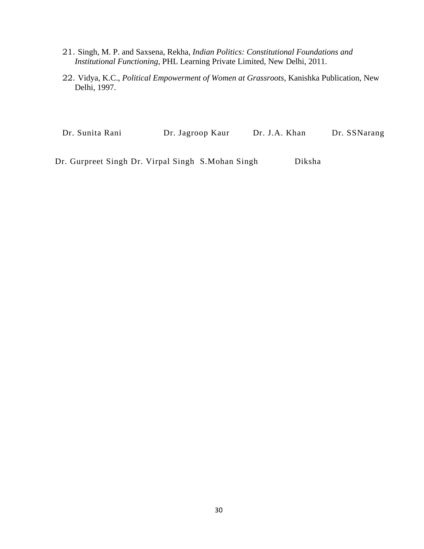- 21. Singh, M. P. and Saxsena, Rekha, *Indian Politics: Constitutional Foundations and Institutional Functioning*, PHL Learning Private Limited, New Delhi, 2011.
- 22. Vidya, K.C., *Political Empowerment of Women at Grassroots*, Kanishka Publication, New Delhi, 1997.

Dr. Sunita Rani Dr. Jagroop Kaur Dr. J.A. Khan Dr. SSNarang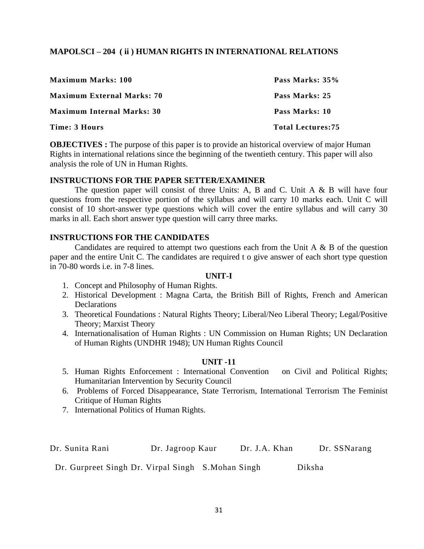# **MAPOLSCI – 204 ( ii ) HUMAN RIGHTS IN INTERNATIONAL RELATIONS**

| <b>Maximum Marks: 100</b>         | Pass Marks: 35%          |
|-----------------------------------|--------------------------|
| <b>Maximum External Marks: 70</b> | Pass Marks: 25           |
| <b>Maximum Internal Marks: 30</b> | Pass Marks: 10           |
| Time: 3 Hours                     | <b>Total Lectures:75</b> |

**OBJECTIVES** : The purpose of this paper is to provide an historical overview of major Human Rights in international relations since the beginning of the twentieth century. This paper will also analysis the role of UN in Human Rights.

# **INSTRUCTIONS FOR THE PAPER SETTER/EXAMINER**

The question paper will consist of three Units: A, B and C. Unit  $A \& B$  will have four questions from the respective portion of the syllabus and will carry 10 marks each. Unit C will consist of 10 short-answer type questions which will cover the entire syllabus and will carry 30 marks in all. Each short answer type question will carry three marks.

# **INSTRUCTIONS FOR THE CANDIDATES**

Candidates are required to attempt two questions each from the Unit A  $\&$  B of the question paper and the entire Unit C. The candidates are required t o give answer of each short type question in 70-80 words i.e. in 7-8 lines.

# **UNIT-I**

- 1. Concept and Philosophy of Human Rights.
- 2. Historical Development : Magna Carta, the British Bill of Rights, French and American **Declarations**
- 3. Theoretical Foundations : Natural Rights Theory; Liberal/Neo Liberal Theory; Legal/Positive Theory; Marxist Theory
- 4. Internationalisation of Human Rights : UN Commission on Human Rights; UN Declaration of Human Rights (UNDHR 1948); UN Human Rights Council

# **UNIT -11**

- 5. Human Rights Enforcement : International Convention on Civil and Political Rights; Humanitarian Intervention by Security Council
- 6. Problems of Forced Disappearance, State Terrorism, International Terrorism The Feminist Critique of Human Rights
- 7. International Politics of Human Rights.

| Dr. Sunita Rani | Dr. Jagroop Kaur | Dr. J.A. Khan | Dr. SSNarang |
|-----------------|------------------|---------------|--------------|
|-----------------|------------------|---------------|--------------|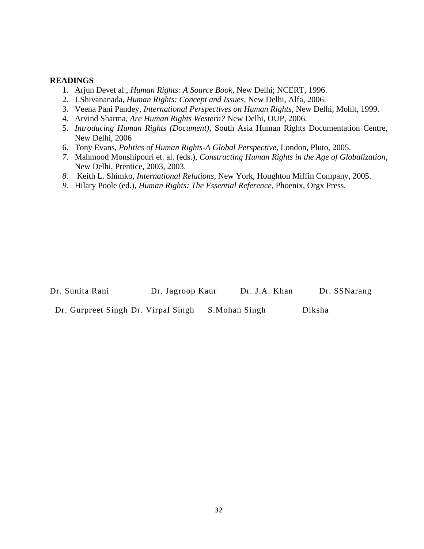- 1. Arjun Devet al., *Human Rights: A Source Book*, New Delhi; NCERT, 1996.
- 2. J.Shivananada, *Human Rights: Concept and Issues*, New Delhi, Alfa, 2006.
- 3. Veena Pani Pandey, *International Perspectives on Human Rights*, New Delhi, Mohit, 1999.
- 4. Arvind Sharma, *Are Human Rights Western?* New Delhi, OUP, 2006.
- 5. *Introducing Human Rights (Document)*, South Asia Human Rights Documentation Centre, New Delhi, 2006
- 6. Tony Evans, *Politics of Human Rights-A Global Perspective*, London, Pluto, 2005.
- *7.* Mahmood Monshipouri et. al. (eds.), *Constructing Human Rights in the Age of Globalization*, New Delhi, Prentice, 2003, 2003.
- *8.* Keith L. Shimko, *International Relations*, New York, Houghton Miffin Company, 2005.
- *9.* Hilary Poole (ed.), *Human Rights: The Essential Reference*, Phoenix, Orgx Press.

| Dr. Sunita Rani                     | Dr. Jagroop Kaur | Dr. J.A. Khan | Dr. SSNarang |
|-------------------------------------|------------------|---------------|--------------|
| Dr. Gurpreet Singh Dr. Virpal Singh |                  | S.Mohan Singh | Diksha       |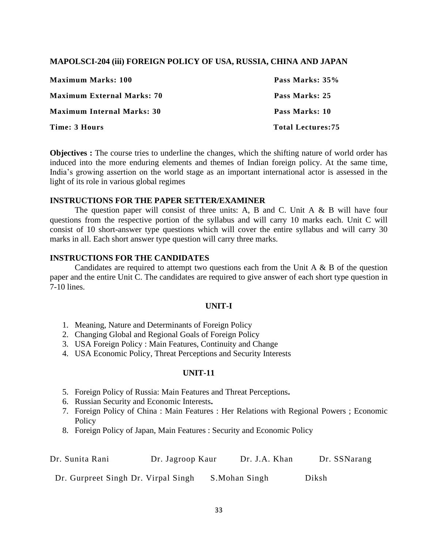# **MAPOLSCI-204 (iii) FOREIGN POLICY OF USA, RUSSIA, CHINA AND JAPAN**

| <b>Maximum Marks: 100</b>         | Pass Marks: 35%          |
|-----------------------------------|--------------------------|
| <b>Maximum External Marks: 70</b> | Pass Marks: 25           |
| <b>Maximum Internal Marks: 30</b> | Pass Marks: 10           |
| Time: 3 Hours                     | <b>Total Lectures:75</b> |

**Objectives :** The course tries to underline the changes, which the shifting nature of world order has induced into the more enduring elements and themes of Indian foreign policy. At the same time, India's growing assertion on the world stage as an important international actor is assessed in the light of its role in various global regimes

# **INSTRUCTIONS FOR THE PAPER SETTER/EXAMINER**

The question paper will consist of three units: A, B and C. Unit A  $\&$  B will have four questions from the respective portion of the syllabus and will carry 10 marks each. Unit C will consist of 10 short-answer type questions which will cover the entire syllabus and will carry 30 marks in all. Each short answer type question will carry three marks.

# **INSTRUCTIONS FOR THE CANDIDATES**

Candidates are required to attempt two questions each from the Unit A  $\&$  B of the question paper and the entire Unit C. The candidates are required to give answer of each short type question in 7-10 lines.

# **UNIT-I**

- 1. Meaning, Nature and Determinants of Foreign Policy
- 2. Changing Global and Regional Goals of Foreign Policy
- 3. USA Foreign Policy : Main Features, Continuity and Change
- 4. USA Economic Policy, Threat Perceptions and Security Interests

# **UNIT-11**

- 5. Foreign Policy of Russia: Main Features and Threat Perceptions**.**
- 6. Russian Security and Economic Interests**.**
- 7. Foreign Policy of China : Main Features : Her Relations with Regional Powers ; Economic **Policy**
- 8. Foreign Policy of Japan, Main Features : Security and Economic Policy

| Dr. Sunita Rani                     | Dr. Jagroop Kaur | Dr. J.A. Khan | Dr. SSNarang |
|-------------------------------------|------------------|---------------|--------------|
| Dr. Gurpreet Singh Dr. Virpal Singh |                  | S.Mohan Singh | Diksh        |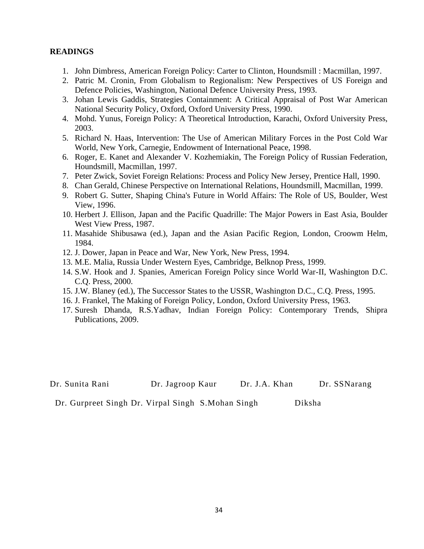- 1. John Dimbress, American Foreign Policy: Carter to Clinton, Houndsmill : Macmillan, 1997.
- 2. Patric M. Cronin, From Globalism to Regionalism: New Perspectives of US Foreign and Defence Policies, Washington, National Defence University Press, 1993.
- 3. Johan Lewis Gaddis, Strategies Containment: A Critical Appraisal of Post War American National Security Policy, Oxford, Oxford University Press, 1990.
- 4. Mohd. Yunus, Foreign Policy: A Theoretical Introduction, Karachi, Oxford University Press, 2003.
- 5. Richard N. Haas, Intervention: The Use of American Military Forces in the Post Cold War World, New York, Carnegie, Endowment of International Peace, 1998.
- 6. Roger, E. Kanet and Alexander V. Kozhemiakin, The Foreign Policy of Russian Federation, Houndsmill, Macmillan, 1997.
- 7. Peter Zwick, Soviet Foreign Relations: Process and Policy New Jersey, Prentice Hall, 1990.
- 8. Chan Gerald, Chinese Perspective on International Relations, Houndsmill, Macmillan, 1999.
- 9. Robert G. Sutter, Shaping China's Future in World Affairs: The Role of US, Boulder, West View, 1996.
- 10. Herbert J. Ellison, Japan and the Pacific Quadrille: The Major Powers in East Asia, Boulder West View Press, 1987.
- 11. Masahide Shibusawa (ed.), Japan and the Asian Pacific Region, London, Croowm Helm, 1984.
- 12. J. Dower, Japan in Peace and War, New York, New Press, 1994.
- 13. M.E. Malia, Russia Under Western Eyes, Cambridge, Belknop Press, 1999.
- 14. S.W. Hook and J. Spanies, American Foreign Policy since World War-II, Washington D.C. C.Q. Press, 2000.
- 15. J.W. Blaney (ed.), The Successor States to the USSR, Washington D.C., C.Q. Press, 1995.
- 16. J. Frankel, The Making of Foreign Policy, London, Oxford University Press, 1963.
- 17. Suresh Dhanda, R.S.Yadhav, Indian Foreign Policy: Contemporary Trends, Shipra Publications, 2009.

| Dr. Sunita Rani | Dr. Jagroop Kaur | Dr. J.A. Khan | Dr. SSNarang |
|-----------------|------------------|---------------|--------------|
|-----------------|------------------|---------------|--------------|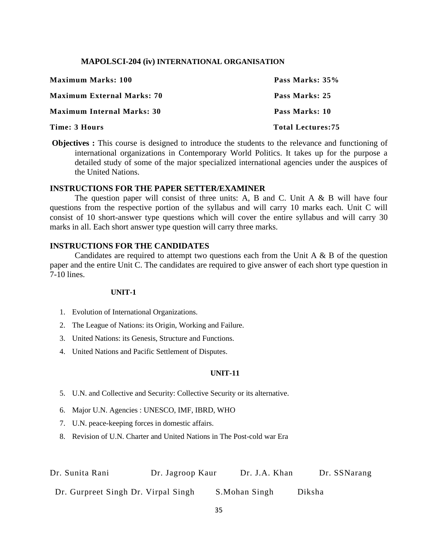#### **MAPOLSCI-204 (iv) INTERNATIONAL ORGANISATION**

| <b>Maximum Marks: 100</b>         | Pass Marks: 35%          |
|-----------------------------------|--------------------------|
| <b>Maximum External Marks: 70</b> | Pass Marks: 25           |
| <b>Maximum Internal Marks: 30</b> | Pass Marks: 10           |
| Time: 3 Hours                     | <b>Total Lectures:75</b> |

**Objectives :** This course is designed to introduce the students to the relevance and functioning of international organizations in Contemporary World Politics. It takes up for the purpose a detailed study of some of the major specialized international agencies under the auspices of the United Nations.

# **INSTRUCTIONS FOR THE PAPER SETTER/EXAMINER**

The question paper will consist of three units: A, B and C. Unit  $A \& B$  will have four questions from the respective portion of the syllabus and will carry 10 marks each. Unit C will consist of 10 short-answer type questions which will cover the entire syllabus and will carry 30 marks in all. Each short answer type question will carry three marks.

# **INSTRUCTIONS FOR THE CANDIDATES**

Candidates are required to attempt two questions each from the Unit A  $\&$  B of the question paper and the entire Unit C. The candidates are required to give answer of each short type question in 7-10 lines.

#### **UNIT-1**

- 1. Evolution of International Organizations.
- 2. The League of Nations: its Origin, Working and Failure.
- 3. United Nations: its Genesis, Structure and Functions.
- 4. United Nations and Pacific Settlement of Disputes.

# **UNIT-11**

- 5. U.N. and Collective and Security: Collective Security or its alternative.
- 6. Major U.N. Agencies : UNESCO, IMF, IBRD, WHO
- 7. U.N. peace-keeping forces in domestic affairs.
- 8. Revision of U.N. Charter and United Nations in The Post-cold war Era

| Dr. Sunita Rani                     | Dr. Jagroop Kaur | Dr. J.A. Khan | Dr. SSNarang |
|-------------------------------------|------------------|---------------|--------------|
| Dr. Gurpreet Singh Dr. Virpal Singh |                  | S.Mohan Singh | Diksha       |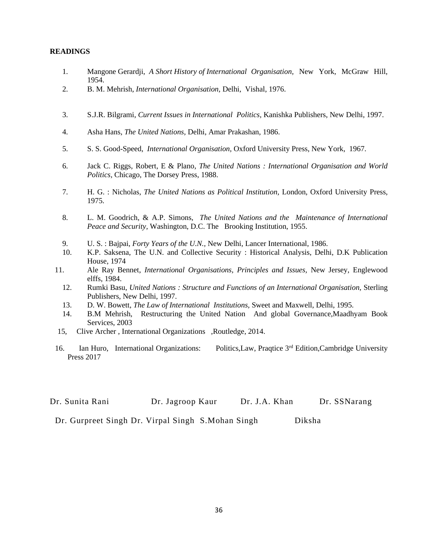- 1. Mangone Gerardji, *A Short History of International Organisation,* New York, McGraw Hill, 1954.
- 2. B. M. Mehrish, *International Organisation,* Delhi, Vishal, 1976.
- 3. S.J.R. Bilgrami, *Current Issues in International Politics,* Kanishka Publishers, New Delhi, 1997.
- 4. Asha Hans, *The United Nations,* Delhi, Amar Prakashan, 1986.
- 5. S. S. Good-Speed, *International Organisation,* Oxford University Press, New York, 1967.
- 6. Jack C. Riggs, Robert, E & Plano, *The United Nations : International Organisation and World Politics,* Chicago, The Dorsey Press, 1988.
- 7. H. G. : Nicholas, *The United Nations as Political Institution,* London, Oxford University Press, 1975.
- 8. L. M. Goodrich, & A.P. Simons, *The United Nations and the Maintenance of International Peace and Security,* Washington, D.C. The Brooking Institution, 1955.
- 9. U. S. : Bajpai, *Forty Years of the U.N.,* New Delhi, Lancer International, 1986.
- 10. K.P. Saksena, The U.N. and Collective Security : Historical Analysis, Delhi, D.K Publication House, 1974
- 11. Ale Ray Bennet, *International Organisations, Principles and Issues,* New Jersey, Englewood elffs, 1984.
	- 12. Rumki Basu, *United Nations : Structure and Functions of an International Organisation,* Sterling Publishers, New Delhi, 1997.
	- 13. D. W. Bowett, *The Law of International Institutions,* Sweet and Maxwell, Delhi, 1995.
	- 14. B.M Mehrish, Restructuring the United Nation And global Governance,Maadhyam Book Services, 2003
- 15, Clive Archer , International Organizations ,Routledge, 2014.
- 16. Ian Huro, International Organizations: Politics, Law, Praqtice 3<sup>rd</sup> Edition, Cambridge University Press 2017

| Dr. Sunita Rani<br>Dr. SSNarang<br>Dr. J.A. Khan<br>Dr. Jagroop Kaur |
|----------------------------------------------------------------------|
|----------------------------------------------------------------------|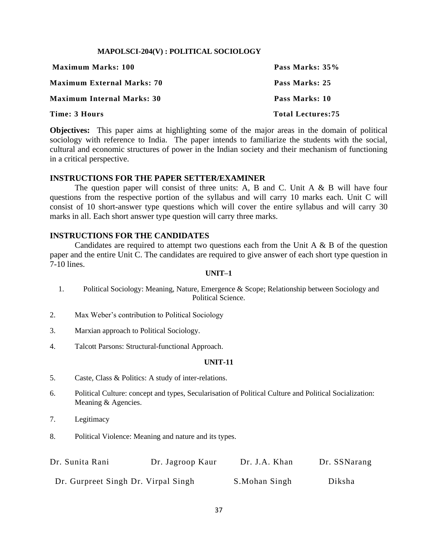#### **MAPOLSCI-204(V) : POLITICAL SOCIOLOGY**

| <b>Maximum Marks: 100</b>         | Pass Marks: 35%          |
|-----------------------------------|--------------------------|
| <b>Maximum External Marks: 70</b> | Pass Marks: 25           |
| <b>Maximum Internal Marks: 30</b> | Pass Marks: 10           |
| Time: 3 Hours                     | <b>Total Lectures:75</b> |

**Objectives:** This paper aims at highlighting some of the major areas in the domain of political sociology with reference to India. The paper intends to familiarize the students with the social, cultural and economic structures of power in the Indian society and their mechanism of functioning in a critical perspective.

#### **INSTRUCTIONS FOR THE PAPER SETTER/EXAMINER**

The question paper will consist of three units: A, B and C. Unit  $A \& B$  will have four questions from the respective portion of the syllabus and will carry 10 marks each. Unit C will consist of 10 short-answer type questions which will cover the entire syllabus and will carry 30 marks in all. Each short answer type question will carry three marks.

#### **INSTRUCTIONS FOR THE CANDIDATES**

Candidates are required to attempt two questions each from the Unit A  $\&$  B of the question paper and the entire Unit C. The candidates are required to give answer of each short type question in 7-10 lines.

#### **UNIT–1**

- 1. Political Sociology: Meaning, Nature, Emergence & Scope; Relationship between Sociology and Political Science.
- 2. Max Weber's contribution to Political Sociology
- 3. Marxian approach to Political Sociology.
- 4. Talcott Parsons: Structural-functional Approach.

#### **UNIT-11**

- 5. Caste, Class & Politics: A study of inter-relations.
- 6. Political Culture: concept and types, Secularisation of Political Culture and Political Socialization: Meaning & Agencies.
- 7. Legitimacy
- 8. Political Violence: Meaning and nature and its types.

| Dr. Sunita Rani                     | Dr. Jagroop Kaur | Dr. J.A. Khan | Dr. SSNarang |
|-------------------------------------|------------------|---------------|--------------|
| Dr. Gurpreet Singh Dr. Virpal Singh |                  | S.Mohan Singh | Diksha       |